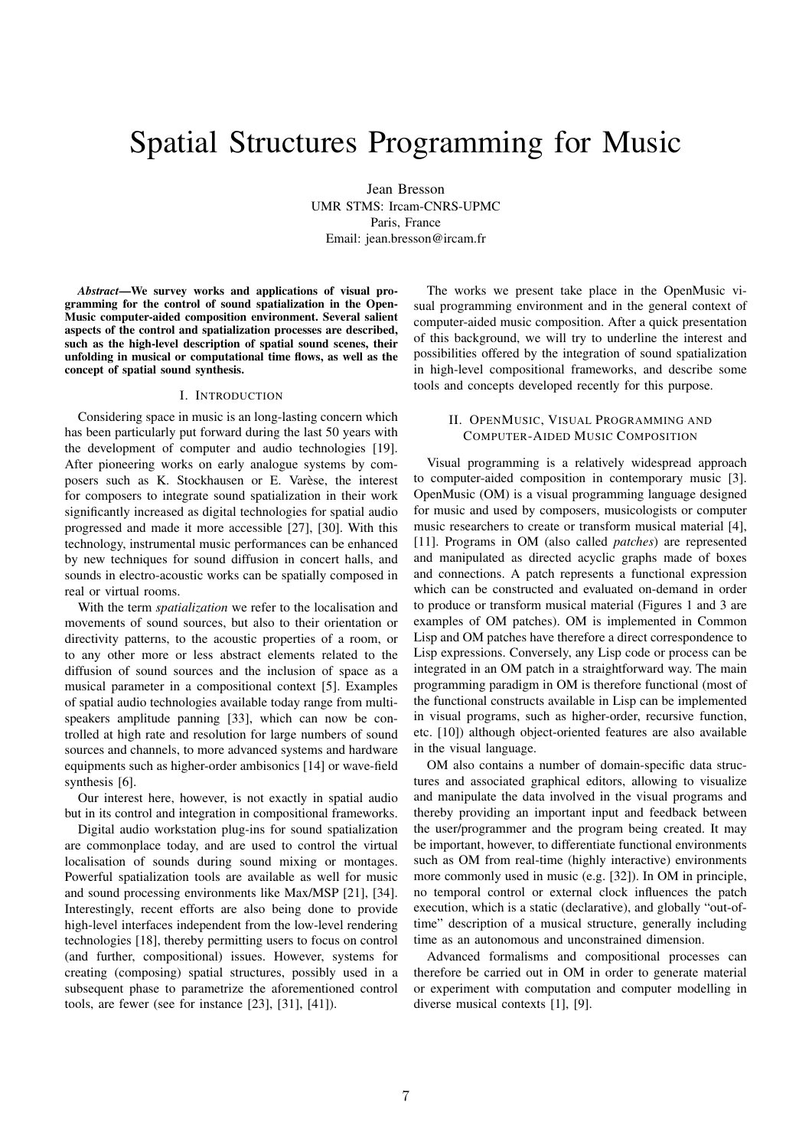# Spatial Structures Programming for Music

Jean Bresson UMR STMS: Ircam-CNRS-UPMC Paris, France Email: jean.bresson@ircam.fr

*Abstract*—We survey works and applications of visual programming for the control of sound spatialization in the Open-Music computer-aided composition environment. Several salient aspects of the control and spatialization processes are described, such as the high-level description of spatial sound scenes, their unfolding in musical or computational time flows, as well as the concept of spatial sound synthesis.

#### I. INTRODUCTION

Considering space in music is an long-lasting concern which has been particularly put forward during the last 50 years with the development of computer and audio technologies [19]. After pioneering works on early analogue systems by composers such as K. Stockhausen or E. Varèse, the interest for composers to integrate sound spatialization in their work significantly increased as digital technologies for spatial audio progressed and made it more accessible [27], [30]. With this technology, instrumental music performances can be enhanced by new techniques for sound diffusion in concert halls, and sounds in electro-acoustic works can be spatially composed in real or virtual rooms.

With the term *spatialization* we refer to the localisation and movements of sound sources, but also to their orientation or directivity patterns, to the acoustic properties of a room, or to any other more or less abstract elements related to the diffusion of sound sources and the inclusion of space as a musical parameter in a compositional context [5]. Examples of spatial audio technologies available today range from multispeakers amplitude panning [33], which can now be controlled at high rate and resolution for large numbers of sound sources and channels, to more advanced systems and hardware equipments such as higher-order ambisonics [14] or wave-field synthesis [6].

Our interest here, however, is not exactly in spatial audio but in its control and integration in compositional frameworks.

Digital audio workstation plug-ins for sound spatialization are commonplace today, and are used to control the virtual localisation of sounds during sound mixing or montages. Powerful spatialization tools are available as well for music and sound processing environments like Max/MSP [21], [34]. Interestingly, recent efforts are also being done to provide high-level interfaces independent from the low-level rendering technologies [18], thereby permitting users to focus on control (and further, compositional) issues. However, systems for creating (composing) spatial structures, possibly used in a subsequent phase to parametrize the aforementioned control tools, are fewer (see for instance [23], [31], [41]).

The works we present take place in the OpenMusic visual programming environment and in the general context of computer-aided music composition. After a quick presentation of this background, we will try to underline the interest and possibilities offered by the integration of sound spatialization in high-level compositional frameworks, and describe some tools and concepts developed recently for this purpose.

## II. OPENMUSIC, VISUAL PROGRAMMING AND COMPUTER-AIDED MUSIC COMPOSITION

Visual programming is a relatively widespread approach to computer-aided composition in contemporary music [3]. OpenMusic (OM) is a visual programming language designed for music and used by composers, musicologists or computer music researchers to create or transform musical material [4], [11]. Programs in OM (also called *patches*) are represented and manipulated as directed acyclic graphs made of boxes and connections. A patch represents a functional expression which can be constructed and evaluated on-demand in order to produce or transform musical material (Figures 1 and 3 are examples of OM patches). OM is implemented in Common Lisp and OM patches have therefore a direct correspondence to Lisp expressions. Conversely, any Lisp code or process can be integrated in an OM patch in a straightforward way. The main programming paradigm in OM is therefore functional (most of the functional constructs available in Lisp can be implemented in visual programs, such as higher-order, recursive function, etc. [10]) although object-oriented features are also available in the visual language.

OM also contains a number of domain-specific data structures and associated graphical editors, allowing to visualize and manipulate the data involved in the visual programs and thereby providing an important input and feedback between the user/programmer and the program being created. It may be important, however, to differentiate functional environments such as OM from real-time (highly interactive) environments more commonly used in music (e.g. [32]). In OM in principle, no temporal control or external clock influences the patch execution, which is a static (declarative), and globally "out-oftime" description of a musical structure, generally including time as an autonomous and unconstrained dimension.

Advanced formalisms and compositional processes can therefore be carried out in OM in order to generate material or experiment with computation and computer modelling in diverse musical contexts [1], [9].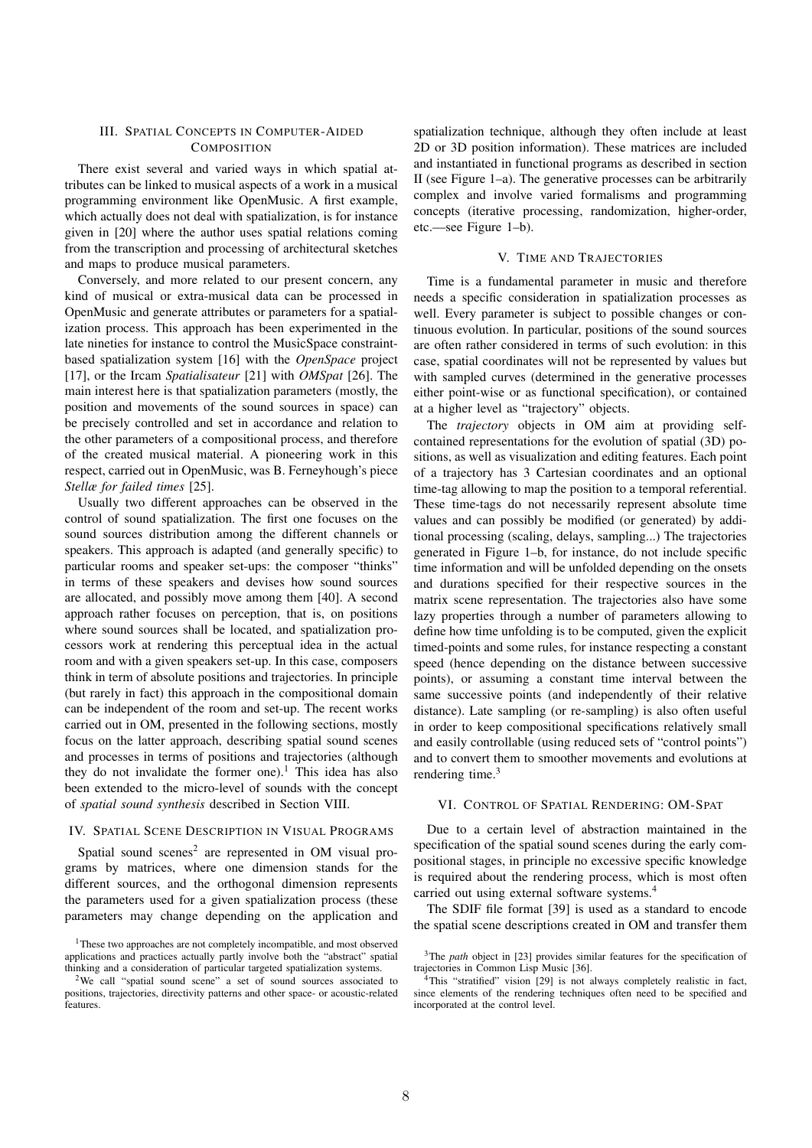# III. SPATIAL CONCEPTS IN COMPUTER-AIDED **COMPOSITION**

There exist several and varied ways in which spatial attributes can be linked to musical aspects of a work in a musical programming environment like OpenMusic. A first example, which actually does not deal with spatialization, is for instance given in [20] where the author uses spatial relations coming from the transcription and processing of architectural sketches and maps to produce musical parameters.

Conversely, and more related to our present concern, any kind of musical or extra-musical data can be processed in OpenMusic and generate attributes or parameters for a spatialization process. This approach has been experimented in the late nineties for instance to control the MusicSpace constraintbased spatialization system [16] with the *OpenSpace* project [17], or the Ircam *Spatialisateur* [21] with *OMSpat* [26]. The main interest here is that spatialization parameters (mostly, the position and movements of the sound sources in space) can be precisely controlled and set in accordance and relation to the other parameters of a compositional process, and therefore of the created musical material. A pioneering work in this respect, carried out in OpenMusic, was B. Ferneyhough's piece *Stellæ for failed times* [25].

Usually two different approaches can be observed in the control of sound spatialization. The first one focuses on the sound sources distribution among the different channels or speakers. This approach is adapted (and generally specific) to particular rooms and speaker set-ups: the composer "thinks" in terms of these speakers and devises how sound sources are allocated, and possibly move among them [40]. A second approach rather focuses on perception, that is, on positions where sound sources shall be located, and spatialization processors work at rendering this perceptual idea in the actual room and with a given speakers set-up. In this case, composers think in term of absolute positions and trajectories. In principle (but rarely in fact) this approach in the compositional domain can be independent of the room and set-up. The recent works carried out in OM, presented in the following sections, mostly focus on the latter approach, describing spatial sound scenes and processes in terms of positions and trajectories (although they do not invalidate the former one).<sup>1</sup> This idea has also been extended to the micro-level of sounds with the concept of *spatial sound synthesis* described in Section VIII.

# IV. SPATIAL SCENE DESCRIPTION IN VISUAL PROGRAMS

Spatial sound scenes<sup>2</sup> are represented in OM visual programs by matrices, where one dimension stands for the different sources, and the orthogonal dimension represents the parameters used for a given spatialization process (these parameters may change depending on the application and

spatialization technique, although they often include at least 2D or 3D position information). These matrices are included and instantiated in functional programs as described in section II (see Figure 1–a). The generative processes can be arbitrarily complex and involve varied formalisms and programming concepts (iterative processing, randomization, higher-order, etc.—see Figure 1–b).

#### V. TIME AND TRAJECTORIES

Time is a fundamental parameter in music and therefore needs a specific consideration in spatialization processes as well. Every parameter is subject to possible changes or continuous evolution. In particular, positions of the sound sources are often rather considered in terms of such evolution: in this case, spatial coordinates will not be represented by values but with sampled curves (determined in the generative processes either point-wise or as functional specification), or contained at a higher level as "trajectory" objects.

The *trajectory* objects in OM aim at providing selfcontained representations for the evolution of spatial (3D) positions, as well as visualization and editing features. Each point of a trajectory has 3 Cartesian coordinates and an optional time-tag allowing to map the position to a temporal referential. These time-tags do not necessarily represent absolute time values and can possibly be modified (or generated) by additional processing (scaling, delays, sampling...) The trajectories generated in Figure 1–b, for instance, do not include specific time information and will be unfolded depending on the onsets and durations specified for their respective sources in the matrix scene representation. The trajectories also have some lazy properties through a number of parameters allowing to define how time unfolding is to be computed, given the explicit timed-points and some rules, for instance respecting a constant speed (hence depending on the distance between successive points), or assuming a constant time interval between the same successive points (and independently of their relative distance). Late sampling (or re-sampling) is also often useful in order to keep compositional specifications relatively small and easily controllable (using reduced sets of "control points") and to convert them to smoother movements and evolutions at rendering time.<sup>3</sup>

## VI. CONTROL OF SPATIAL RENDERING: OM-SPAT

Due to a certain level of abstraction maintained in the specification of the spatial sound scenes during the early compositional stages, in principle no excessive specific knowledge is required about the rendering process, which is most often carried out using external software systems.4

The SDIF file format [39] is used as a standard to encode the spatial scene descriptions created in OM and transfer them

<sup>&</sup>lt;sup>1</sup>These two approaches are not completely incompatible, and most observed applications and practices actually partly involve both the "abstract" spatial thinking and a consideration of particular targeted spatialization systems.

<sup>&</sup>lt;sup>2</sup>We call "spatial sound scene" a set of sound sources associated to positions, trajectories, directivity patterns and other space- or acoustic-related features.

<sup>&</sup>lt;sup>3</sup>The *path* object in [23] provides similar features for the specification of trajectories in Common Lisp Music [36].

 $4$ This "stratified" vision [29] is not always completely realistic in fact, since elements of the rendering techniques often need to be specified and incorporated at the control level.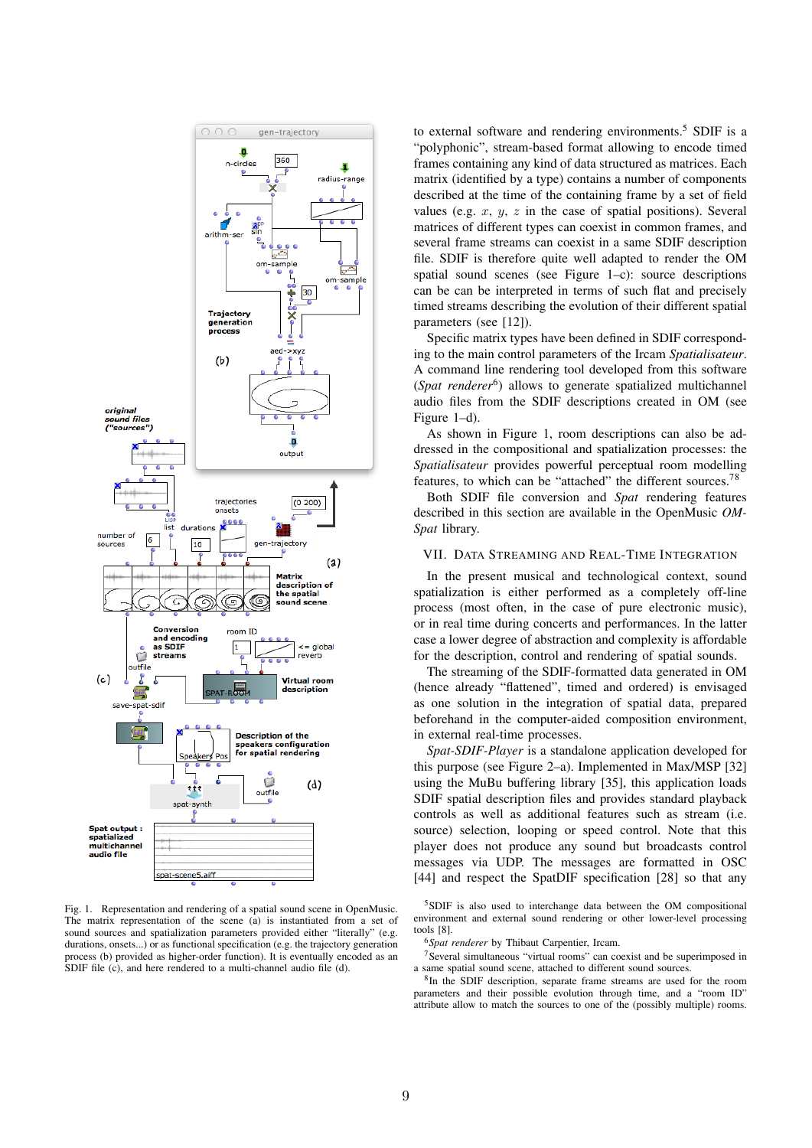

Fig. 1. Representation and rendering of a spatial sound scene in OpenMusic. The matrix representation of the scene (a) is instantiated from a set of sound sources and spatialization parameters provided either "literally" (e.g. durations, onsets...) or as functional specification (e.g. the trajectory generation process (b) provided as higher-order function). It is eventually encoded as an SDIF file (c), and here rendered to a multi-channel audio file (d).

to external software and rendering environments.<sup>5</sup> SDIF is a "polyphonic", stream-based format allowing to encode timed frames containing any kind of data structured as matrices. Each matrix (identified by a type) contains a number of components described at the time of the containing frame by a set of field values (e.g. *x*, *y*, *z* in the case of spatial positions). Several matrices of different types can coexist in common frames, and several frame streams can coexist in a same SDIF description file. SDIF is therefore quite well adapted to render the OM spatial sound scenes (see Figure 1–c): source descriptions can be can be interpreted in terms of such flat and precisely timed streams describing the evolution of their different spatial parameters (see [12]).

Specific matrix types have been defined in SDIF corresponding to the main control parameters of the Ircam *Spatialisateur*. A command line rendering tool developed from this software (*Spat renderer*6) allows to generate spatialized multichannel audio files from the SDIF descriptions created in OM (see Figure 1–d).

As shown in Figure 1, room descriptions can also be addressed in the compositional and spatialization processes: the *Spatialisateur* provides powerful perceptual room modelling features, to which can be "attached" the different sources.<sup>78</sup>

Both SDIF file conversion and *Spat* rendering features described in this section are available in the OpenMusic *OM-Spat* library.

## VII. DATA STREAMING AND REAL-TIME INTEGRATION

In the present musical and technological context, sound spatialization is either performed as a completely off-line process (most often, in the case of pure electronic music), or in real time during concerts and performances. In the latter case a lower degree of abstraction and complexity is affordable for the description, control and rendering of spatial sounds.

The streaming of the SDIF-formatted data generated in OM (hence already "flattened", timed and ordered) is envisaged as one solution in the integration of spatial data, prepared beforehand in the computer-aided composition environment, in external real-time processes.

*Spat-SDIF-Player* is a standalone application developed for this purpose (see Figure 2–a). Implemented in Max/MSP [32] using the MuBu buffering library [35], this application loads SDIF spatial description files and provides standard playback controls as well as additional features such as stream (i.e. source) selection, looping or speed control. Note that this player does not produce any sound but broadcasts control messages via UDP. The messages are formatted in OSC [44] and respect the SpatDIF specification [28] so that any

5SDIF is also used to interchange data between the OM compositional environment and external sound rendering or other lower-level processing tools [8].

<sup>6</sup>*Spat renderer* by Thibaut Carpentier, Ircam.

<sup>7</sup>Several simultaneous "virtual rooms" can coexist and be superimposed in a same spatial sound scene, attached to different sound sources.

8In the SDIF description, separate frame streams are used for the room parameters and their possible evolution through time, and a "room ID" attribute allow to match the sources to one of the (possibly multiple) rooms.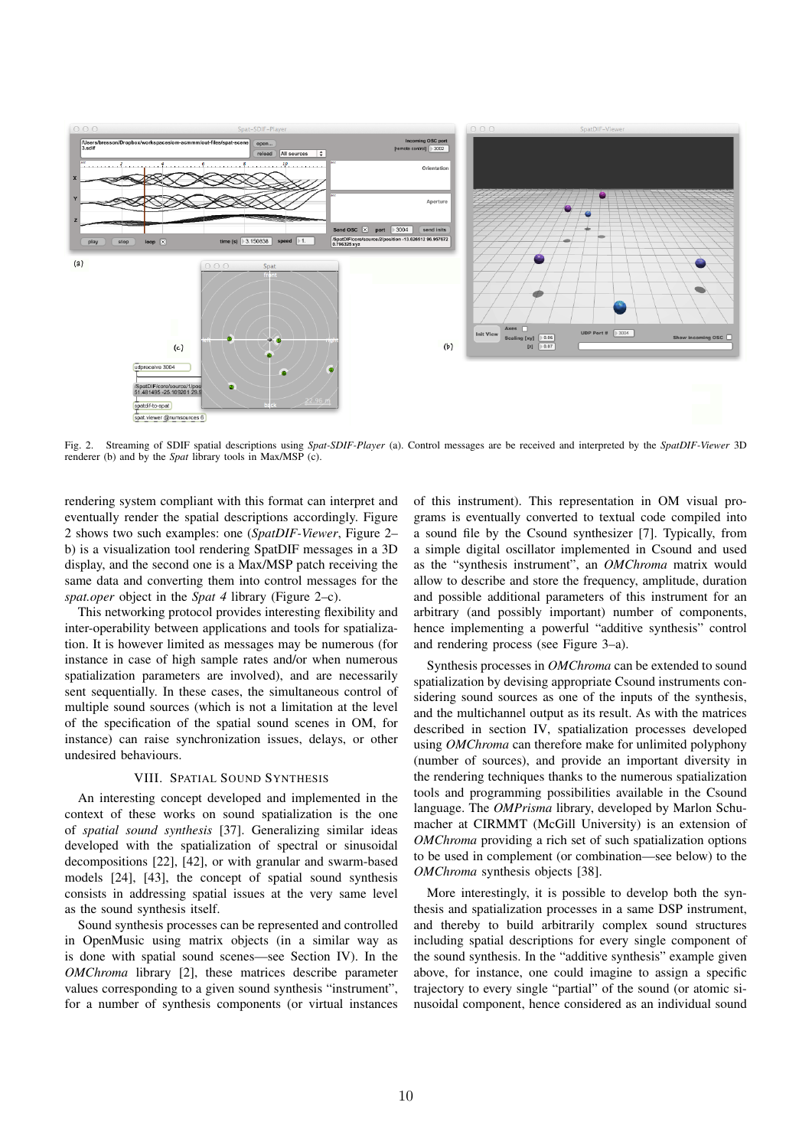

Fig. 2. Streaming of SDIF spatial descriptions using *Spat-SDIF-Player* (a). Control messages are be received and interpreted by the *SpatDIF-Viewer* 3D renderer (b) and by the *Spat* library tools in Max/MSP (c).

rendering system compliant with this format can interpret and eventually render the spatial descriptions accordingly. Figure 2 shows two such examples: one (*SpatDIF-Viewer*, Figure 2– b) is a visualization tool rendering SpatDIF messages in a 3D display, and the second one is a Max/MSP patch receiving the same data and converting them into control messages for the *spat.oper* object in the *Spat 4* library (Figure 2–c).

This networking protocol provides interesting flexibility and inter-operability between applications and tools for spatialization. It is however limited as messages may be numerous (for instance in case of high sample rates and/or when numerous spatialization parameters are involved), and are necessarily sent sequentially. In these cases, the simultaneous control of multiple sound sources (which is not a limitation at the level of the specification of the spatial sound scenes in OM, for instance) can raise synchronization issues, delays, or other undesired behaviours.

# VIII. SPATIAL SOUND SYNTHESIS

An interesting concept developed and implemented in the context of these works on sound spatialization is the one of *spatial sound synthesis* [37]. Generalizing similar ideas developed with the spatialization of spectral or sinusoidal decompositions [22], [42], or with granular and swarm-based models [24], [43], the concept of spatial sound synthesis consists in addressing spatial issues at the very same level as the sound synthesis itself.

Sound synthesis processes can be represented and controlled in OpenMusic using matrix objects (in a similar way as is done with spatial sound scenes—see Section IV). In the *OMChroma* library [2], these matrices describe parameter values corresponding to a given sound synthesis "instrument", for a number of synthesis components (or virtual instances

of this instrument). This representation in OM visual programs is eventually converted to textual code compiled into a sound file by the Csound synthesizer [7]. Typically, from a simple digital oscillator implemented in Csound and used as the "synthesis instrument", an *OMChroma* matrix would allow to describe and store the frequency, amplitude, duration and possible additional parameters of this instrument for an arbitrary (and possibly important) number of components, hence implementing a powerful "additive synthesis" control and rendering process (see Figure 3–a).

Synthesis processes in *OMChroma* can be extended to sound spatialization by devising appropriate Csound instruments considering sound sources as one of the inputs of the synthesis. and the multichannel output as its result. As with the matrices described in section IV, spatialization processes developed using *OMChroma* can therefore make for unlimited polyphony (number of sources), and provide an important diversity in the rendering techniques thanks to the numerous spatialization tools and programming possibilities available in the Csound language. The *OMPrisma* library, developed by Marlon Schumacher at CIRMMT (McGill University) is an extension of *OMChroma* providing a rich set of such spatialization options to be used in complement (or combination—see below) to the *OMChroma* synthesis objects [38].

More interestingly, it is possible to develop both the synthesis and spatialization processes in a same DSP instrument, and thereby to build arbitrarily complex sound structures including spatial descriptions for every single component of the sound synthesis. In the "additive synthesis" example given above, for instance, one could imagine to assign a specific trajectory to every single "partial" of the sound (or atomic sinusoidal component, hence considered as an individual sound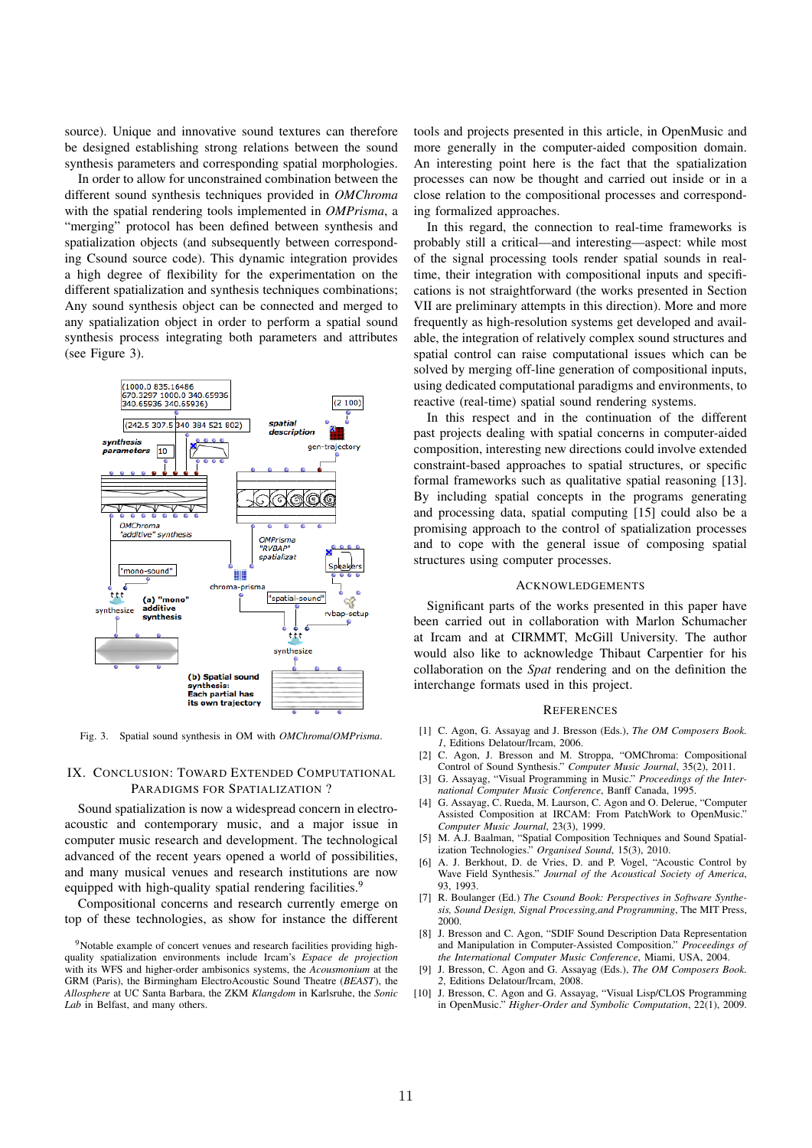source). Unique and innovative sound textures can therefore be designed establishing strong relations between the sound synthesis parameters and corresponding spatial morphologies.

In order to allow for unconstrained combination between the different sound synthesis techniques provided in *OMChroma* with the spatial rendering tools implemented in *OMPrisma*, a "merging" protocol has been defined between synthesis and spatialization objects (and subsequently between corresponding Csound source code). This dynamic integration provides a high degree of flexibility for the experimentation on the different spatialization and synthesis techniques combinations; Any sound synthesis object can be connected and merged to any spatialization object in order to perform a spatial sound synthesis process integrating both parameters and attributes (see Figure 3).



Fig. 3. Spatial sound synthesis in OM with *OMChroma*/*OMPrisma*.

# IX. CONCLUSION: TOWARD EXTENDED COMPUTATIONAL PARADIGMS FOR SPATIALIZATION ?

Sound spatialization is now a widespread concern in electroacoustic and contemporary music, and a major issue in computer music research and development. The technological advanced of the recent years opened a world of possibilities, and many musical venues and research institutions are now equipped with high-quality spatial rendering facilities.<sup>9</sup>

Compositional concerns and research currently emerge on top of these technologies, as show for instance the different

tools and projects presented in this article, in OpenMusic and more generally in the computer-aided composition domain. An interesting point here is the fact that the spatialization processes can now be thought and carried out inside or in a close relation to the compositional processes and corresponding formalized approaches.

In this regard, the connection to real-time frameworks is probably still a critical—and interesting—aspect: while most of the signal processing tools render spatial sounds in realtime, their integration with compositional inputs and specifications is not straightforward (the works presented in Section VII are preliminary attempts in this direction). More and more frequently as high-resolution systems get developed and available, the integration of relatively complex sound structures and spatial control can raise computational issues which can be solved by merging off-line generation of compositional inputs, using dedicated computational paradigms and environments, to reactive (real-time) spatial sound rendering systems.

In this respect and in the continuation of the different past projects dealing with spatial concerns in computer-aided composition, interesting new directions could involve extended constraint-based approaches to spatial structures, or specific formal frameworks such as qualitative spatial reasoning [13]. By including spatial concepts in the programs generating and processing data, spatial computing [15] could also be a promising approach to the control of spatialization processes and to cope with the general issue of composing spatial structures using computer processes.

#### ACKNOWLEDGEMENTS

Significant parts of the works presented in this paper have been carried out in collaboration with Marlon Schumacher at Ircam and at CIRMMT, McGill University. The author would also like to acknowledge Thibaut Carpentier for his collaboration on the *Spat* rendering and on the definition the interchange formats used in this project.

#### **REFERENCES**

- [1] C. Agon, G. Assayag and J. Bresson (Eds.), *The OM Composers Book. 1*, Editions Delatour/Ircam, 2006.
- [2] C. Agon, J. Bresson and M. Stroppa, "OMChroma: Compositional Control of Sound Synthesis." *Computer Music Journal*, 35(2), 2011.
- [3] G. Assayag, "Visual Programming in Music." *Proceedings of the International Computer Music Conference*, Banff Canada, 1995.
- [4] G. Assayag, C. Rueda, M. Laurson, C. Agon and O. Delerue, "Computer Assisted Composition at IRCAM: From PatchWork to OpenMusic." *Computer Music Journal*, 23(3), 1999.
- [5] M. A.J. Baalman, "Spatial Composition Techniques and Sound Spatialization Technologies." *Organised Sound*, 15(3), 2010.
- [6] A. J. Berkhout, D. de Vries, D. and P. Vogel, "Acoustic Control by Wave Field Synthesis." *Journal of the Acoustical Society of America*, 93, 1993.
- [7] R. Boulanger (Ed.) *The Csound Book: Perspectives in Software Synthesis, Sound Design, Signal Processing,and Programming*, The MIT Press, 2000.
- [8] J. Bresson and C. Agon, "SDIF Sound Description Data Representation and Manipulation in Computer-Assisted Composition." *Proceedings of the International Computer Music Conference*, Miami, USA, 2004.
- [9] J. Bresson, C. Agon and G. Assayag (Eds.), *The OM Composers Book. 2*, Editions Delatour/Ircam, 2008.
- [10] J. Bresson, C. Agon and G. Assayag, "Visual Lisp/CLOS Programming in OpenMusic." *Higher-Order and Symbolic Computation*, 22(1), 2009.

<sup>&</sup>lt;sup>9</sup>Notable example of concert venues and research facilities providing highquality spatialization environments include Ircam's *Espace de projection* with its WFS and higher-order ambisonics systems, the *Acousmonium* at the GRM (Paris), the Birmingham ElectroAcoustic Sound Theatre (*BEAST*), the *Allosphere* at UC Santa Barbara, the ZKM *Klangdom* in Karlsruhe, the *Sonic Lab* in Belfast, and many others.